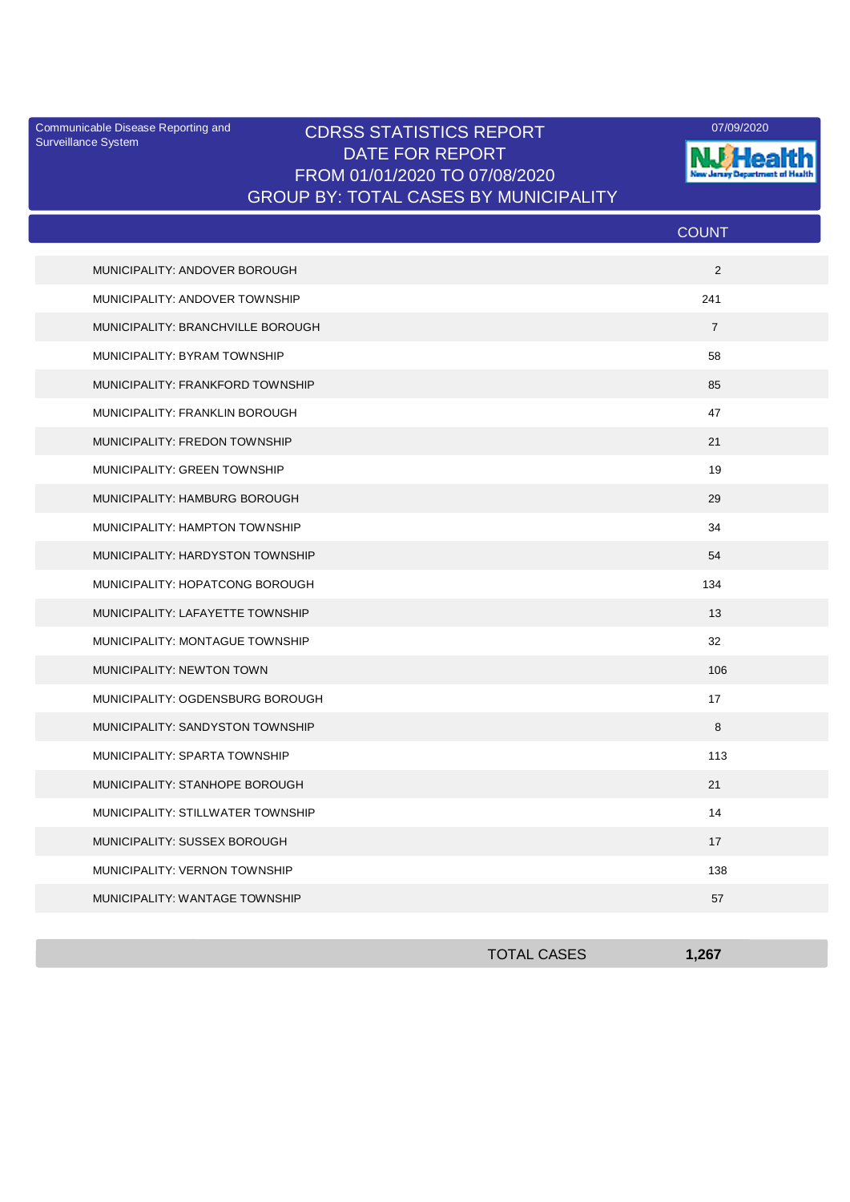Surveillance System

## Communicable Disease Reporting and **CDRSS STATISTICS REPORT** 2009/2020 2009/2020 DATE FOR REPORT FROM 01/01/2020 TO 07/08/2020 GROUP BY: TOTAL CASES BY MUNICIPALITY



|                                   | <b>COUNT</b>   |
|-----------------------------------|----------------|
| MUNICIPALITY: ANDOVER BOROUGH     | 2              |
| MUNICIPALITY: ANDOVER TOWNSHIP    | 241            |
| MUNICIPALITY: BRANCHVILLE BOROUGH | $\overline{7}$ |
| MUNICIPALITY: BYRAM TOWNSHIP      | 58             |
| MUNICIPALITY: FRANKFORD TOWNSHIP  | 85             |
| MUNICIPALITY: FRANKLIN BOROUGH    | 47             |
| MUNICIPALITY: FREDON TOWNSHIP     | 21             |
| MUNICIPALITY: GREEN TOWNSHIP      | 19             |
| MUNICIPALITY: HAMBURG BOROUGH     | 29             |
| MUNICIPALITY: HAMPTON TOWNSHIP    | 34             |
| MUNICIPALITY: HARDYSTON TOWNSHIP  | 54             |
| MUNICIPALITY: HOPATCONG BOROUGH   | 134            |
| MUNICIPALITY: LAFAYETTE TOWNSHIP  | 13             |
| MUNICIPALITY: MONTAGUE TOWNSHIP   | 32             |
| <b>MUNICIPALITY: NEWTON TOWN</b>  | 106            |
| MUNICIPALITY: OGDENSBURG BOROUGH  | 17             |
| MUNICIPALITY: SANDYSTON TOWNSHIP  | 8              |
| MUNICIPALITY: SPARTA TOWNSHIP     | 113            |
| MUNICIPALITY: STANHOPE BOROUGH    | 21             |
| MUNICIPALITY: STILLWATER TOWNSHIP | 14             |
| MUNICIPALITY: SUSSEX BOROUGH      | 17             |
| MUNICIPALITY: VERNON TOWNSHIP     | 138            |
| MUNICIPALITY: WANTAGE TOWNSHIP    | 57             |

| <b>TOTAL CASES</b> | 1 267 |
|--------------------|-------|
|                    |       |